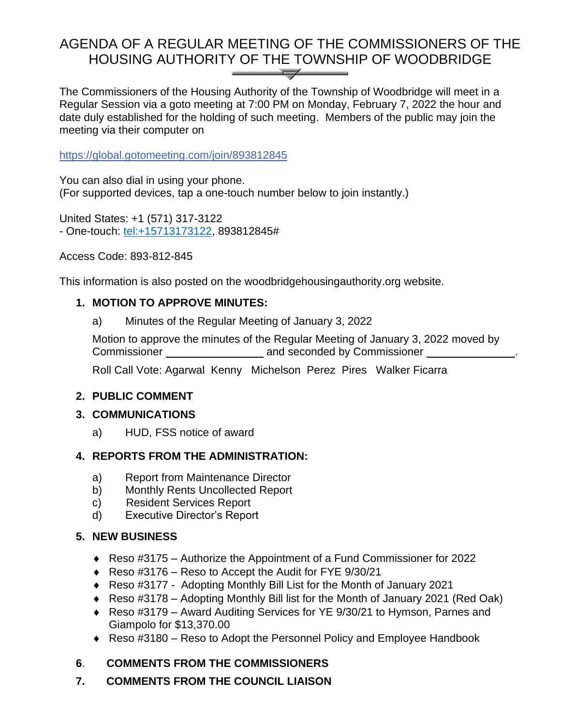# AGENDA OF A REGULAR MEETING OF THE COMMISSIONERS OF THE HOUSING AUTHORITY OF THE TOWNSHIP OF WOODBRIDGE

The Commissioners of the Housing Authority of the Township of Woodbridge will meet in a Regular Session via a goto meeting at 7:00 PM on Monday, February 7, 2022 the hour and date duly established for the holding of such meeting. Members of the public may join the meeting via their computer on

<https://global.gotomeeting.com/join/893812845>

You can also dial in using your phone. (For supported devices, tap a one-touch number below to join instantly.)

United States: +1 (571) 317-3122 - One-touch: [tel:+15713173122,](tel:+15713173122) 893812845#

Access Code: 893-812-845

This information is also posted on the woodbridgehousingauthority.org website.

## **1. MOTION TO APPROVE MINUTES:**

a) Minutes of the Regular Meeting of January 3, 2022

Motion to approve the minutes of the Regular Meeting of January 3, 2022 moved by Commissioner **Commissioner** and seconded by Commissioner **Commissioner** 

Roll Call Vote: Agarwal Kenny Michelson Perez Pires Walker Ficarra

#### **2. PUBLIC COMMENT**

#### **3. COMMUNICATIONS**

a) HUD, FSS notice of award

## **4. REPORTS FROM THE ADMINISTRATION:**

- a) Report from Maintenance Director
- b) Monthly Rents Uncollected Report
- c) Resident Services Report
- d) Executive Director's Report

#### **5. NEW BUSINESS**

- Reso #3175 Authorize the Appointment of a Fund Commissioner for 2022
- ◆ Reso #3176 Reso to Accept the Audit for FYE 9/30/21
- Reso #3177 Adopting Monthly Bill List for the Month of January 2021
- Reso #3178 Adopting Monthly Bill list for the Month of January 2021 (Red Oak)
- Reso #3179 Award Auditing Services for YE 9/30/21 to Hymson, Parnes and Giampolo for \$13,370.00
- Reso #3180 Reso to Adopt the Personnel Policy and Employee Handbook

## **6**. **COMMENTS FROM THE COMMISSIONERS**

**7. COMMENTS FROM THE COUNCIL LIAISON**